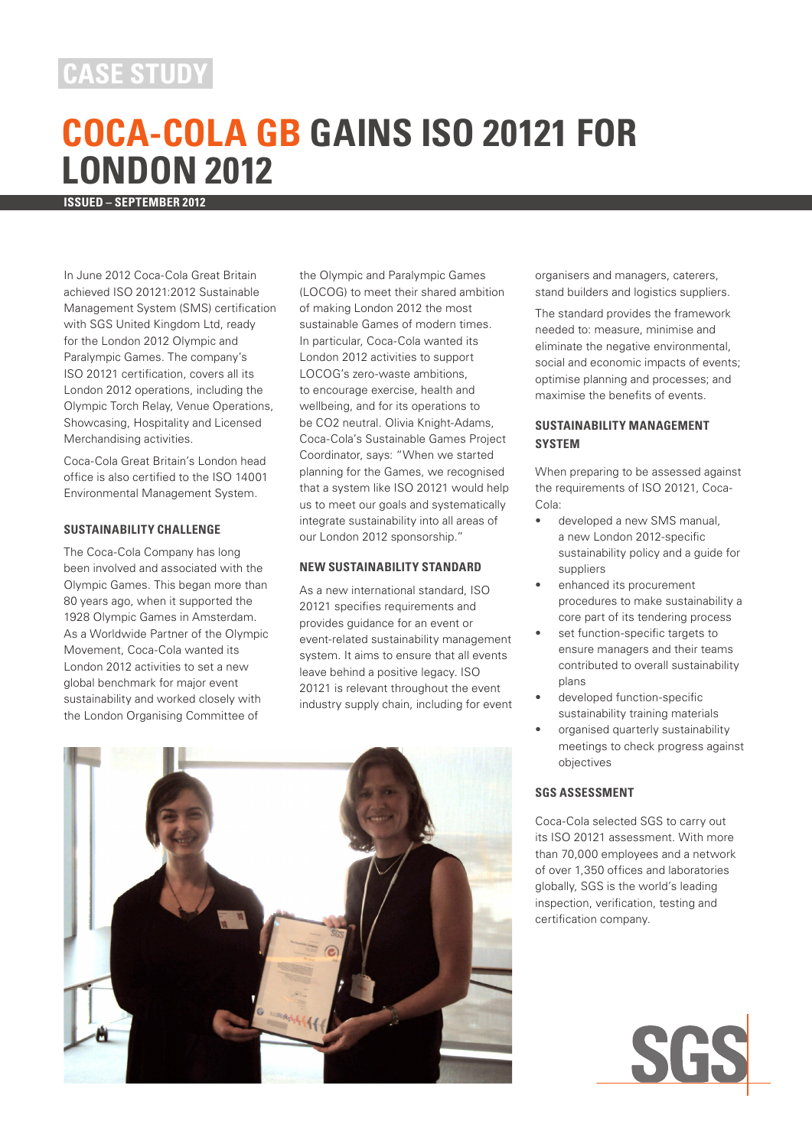# **CASE STUDY**

# **COCA-COLA GB GAINS ISO 20121 FOR LONDON 2012**

**ISSUED – SEPTEMBER 2012**

In June 2012 Coca-Cola Great Britain achieved ISO 20121:2012 Sustainable Management System (SMS) certification with SGS United Kingdom Ltd, ready for the London 2012 Olympic and Paralympic Games. The company's ISO 20121 certification, covers all its London 2012 operations, including the Olympic Torch Relay, Venue Operations, Showcasing, Hospitality and Licensed Merchandising activities.

Coca-Cola Great Britain's London head office is also certified to the ISO 14001 Environmental Management System.

## **SUSTAINABILITY CHALLENGE**

The Coca-Cola Company has long been involved and associated with the Olympic Games. This began more than 80 years ago, when it supported the 1928 Olympic Games in Amsterdam. As a Worldwide Partner of the Olympic Movement, Coca-Cola wanted its London 2012 activities to set a new global benchmark for major event sustainability and worked closely with the London Organising Committee of

the Olympic and Paralympic Games (LOCOG) to meet their shared ambition of making London 2012 the most sustainable Games of modern times. In particular, Coca-Cola wanted its London 2012 activities to support LOCOG's zero-waste ambitions, to encourage exercise, health and wellbeing, and for its operations to be CO2 neutral. Olivia Knight-Adams, Coca-Cola's Sustainable Games Project Coordinator, says: "When we started planning for the Games, we recognised that a system like ISO 20121 would help us to meet our goals and systematically integrate sustainability into all areas of our London 2012 sponsorship."

#### **NEW SUSTAINABILITY STANDARD**

As a new international standard, ISO 20121 specifies requirements and provides guidance for an event or event-related sustainability management system. It aims to ensure that all events leave behind a positive legacy. ISO 20121 is relevant throughout the event industry supply chain, including for event



organisers and managers, caterers, stand builders and logistics suppliers.

The standard provides the framework needed to: measure, minimise and eliminate the negative environmental, social and economic impacts of events; optimise planning and processes; and maximise the benefits of events.

### **SUSTAINABILITY MANAGEMENT SYSTEM**

When preparing to be assessed against the requirements of ISO 20121, Coca-Cola:

- developed a new SMS manual. a new London 2012-specific sustainability policy and a guide for suppliers
- enhanced its procurement procedures to make sustainability a core part of its tendering process
- set function-specific targets to ensure managers and their teams contributed to overall sustainability plans
- developed function-specific sustainability training materials
- organised quarterly sustainability meetings to check progress against objectives

#### **SGS ASSESSMENT**

Coca-Cola selected SGS to carry out its ISO 20121 assessment. With more than 70,000 employees and a network of over 1,350 offices and laboratories globally, SGS is the world's leading inspection, verification, testing and certification company.